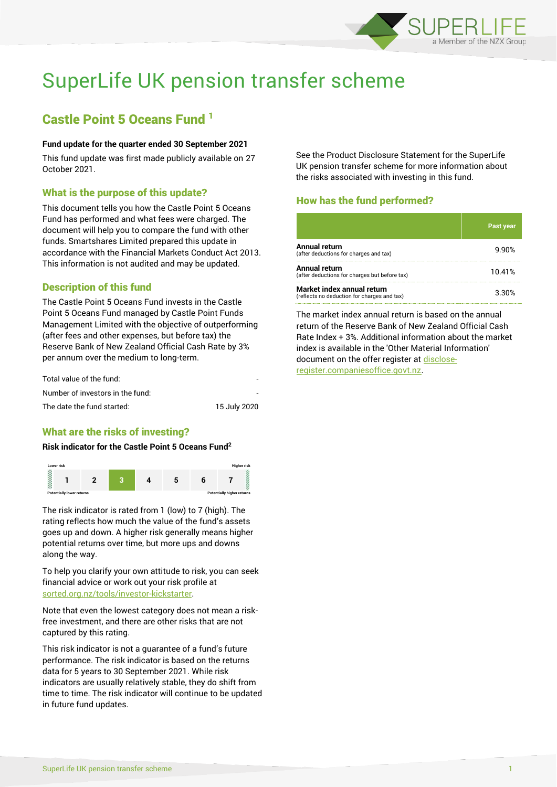

# SuperLife UK pension transfer scheme

## Castle Point 5 Oceans Fund <sup>1</sup>

### **Fund update for the quarter ended 30 September 2021**

This fund update was first made publicly available on 27 October 2021.

## What is the purpose of this update?

This document tells you how the Castle Point 5 Oceans Fund has performed and what fees were charged. The document will help you to compare the fund with other funds. Smartshares Limited prepared this update in accordance with the Financial Markets Conduct Act 2013. This information is not audited and may be updated.

## Description of this fund

The Castle Point 5 Oceans Fund invests in the Castle Point 5 Oceans Fund managed by Castle Point Funds Management Limited with the objective of outperforming (after fees and other expenses, but before tax) the Reserve Bank of New Zealand Official Cash Rate by 3% per annum over the medium to long-term.

| Total value of the fund:         |              |
|----------------------------------|--------------|
| Number of investors in the fund: |              |
| The date the fund started:       | 15 July 2020 |

## What are the risks of investing?

#### **Risk indicator for the Castle Point 5 Oceans Fund<sup>2</sup>**



The risk indicator is rated from 1 (low) to 7 (high). The rating reflects how much the value of the fund's assets goes up and down. A higher risk generally means higher potential returns over time, but more ups and downs along the way.

To help you clarify your own attitude to risk, you can seek financial advice or work out your risk profile at [sorted.org.nz/tools/investor-kickstarter.](http://www.sorted.org.nz/tools/investor-kickstarter)

Note that even the lowest category does not mean a riskfree investment, and there are other risks that are not captured by this rating.

This risk indicator is not a guarantee of a fund's future performance. The risk indicator is based on the returns data for 5 years to 30 September 2021. While risk indicators are usually relatively stable, they do shift from time to time. The risk indicator will continue to be updated in future fund updates.

See the Product Disclosure Statement for the SuperLife UK pension transfer scheme for more information about the risks associated with investing in this fund.

## How has the fund performed?

|                                                                           | <b>Past year</b> |
|---------------------------------------------------------------------------|------------------|
| Annual return<br>(after deductions for charges and tax)                   | 9.90%            |
| Annual return<br>(after deductions for charges but before tax)            | 10.41%           |
| Market index annual return<br>(reflects no deduction for charges and tax) | 3.30%            |

The market index annual return is based on the annual return of the Reserve Bank of New Zealand Official Cash Rate Index + 3%. Additional information about the market index is available in the 'Other Material Information' document on the offer register a[t disclose](http://www.disclose-register.companiesoffice.govt.nz/)[register.companiesoffice.govt.nz.](http://www.disclose-register.companiesoffice.govt.nz/)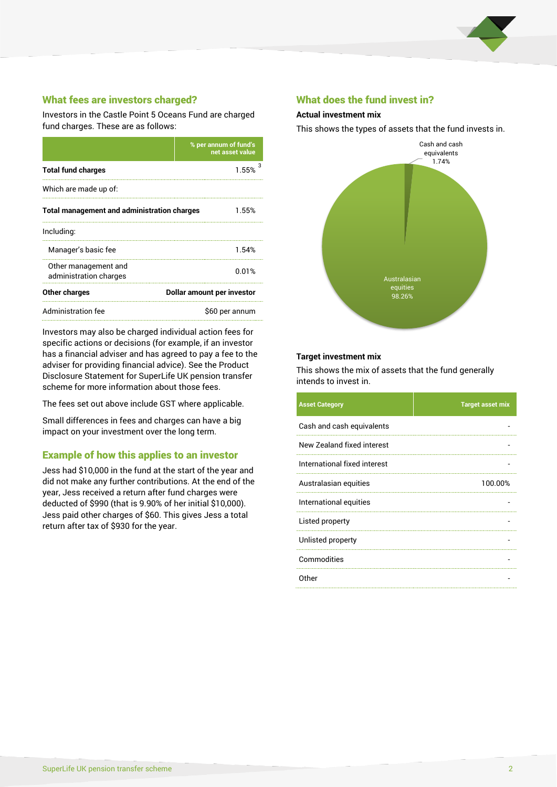

## What fees are investors charged?

Investors in the Castle Point 5 Oceans Fund are charged fund charges. These are as follows:

|                                                    | % per annum of fund's<br>net asset value |  |
|----------------------------------------------------|------------------------------------------|--|
| <b>Total fund charges</b>                          | 1.55%                                    |  |
| Which are made up of:                              |                                          |  |
| <b>Total management and administration charges</b> | 1.55%                                    |  |
| Including:                                         |                                          |  |
| Manager's basic fee                                | 1.54%                                    |  |
| Other management and<br>administration charges     | 0.01%                                    |  |
| Other charges                                      | Dollar amount per investor               |  |
| Administration fee                                 | \$60 per annum                           |  |

Investors may also be charged individual action fees for specific actions or decisions (for example, if an investor has a financial adviser and has agreed to pay a fee to the adviser for providing financial advice). See the Product Disclosure Statement for SuperLife UK pension transfer scheme for more information about those fees.

The fees set out above include GST where applicable.

Small differences in fees and charges can have a big impact on your investment over the long term.

## Example of how this applies to an investor

Jess had \$10,000 in the fund at the start of the year and did not make any further contributions. At the end of the year, Jess received a return after fund charges were deducted of \$990 (that is 9.90% of her initial \$10,000). Jess paid other charges of \$60. This gives Jess a total return after tax of \$930 for the year.

## What does the fund invest in?

#### **Actual investment mix**

This shows the types of assets that the fund invests in.



#### **Target investment mix**

This shows the mix of assets that the fund generally intends to invest in.

| <b>Asset Category</b>        | <b>Target asset mix</b> |
|------------------------------|-------------------------|
| Cash and cash equivalents    |                         |
| New Zealand fixed interest   |                         |
| International fixed interest |                         |
| Australasian equities        | 100.00%                 |
| International equities       |                         |
| Listed property              |                         |
| Unlisted property            |                         |
| Commodities                  |                         |
| Other                        |                         |